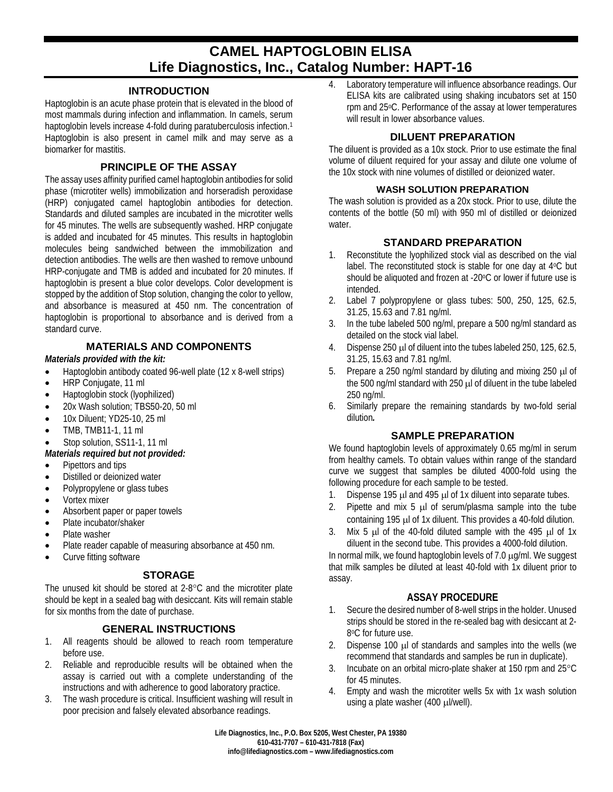# **CAMEL HAPTOGLOBIN ELISA Life Diagnostics, Inc., Catalog Number: HAPT-16**

## **INTRODUCTION**

Haptoglobin is an acute phase protein that is elevated in the blood of most mammals during infection and inflammation. In camels, serum haptoglobin levels increase 4-fold during paratuberculosis infection.<sup>1</sup> Haptoglobin is also present in camel milk and may serve as a biomarker for mastitis.

# **PRINCIPLE OF THE ASSAY**

The assay uses affinity purified camel haptoglobin antibodies for solid phase (microtiter wells) immobilization and horseradish peroxidase (HRP) conjugated camel haptoglobin antibodies for detection. Standards and diluted samples are incubated in the microtiter wells for 45 minutes. The wells are subsequently washed. HRP conjugate is added and incubated for 45 minutes. This results in haptoglobin molecules being sandwiched between the immobilization and detection antibodies. The wells are then washed to remove unbound HRP-conjugate and TMB is added and incubated for 20 minutes. If haptoglobin is present a blue color develops. Color development is stopped by the addition of Stop solution, changing the color to yellow, and absorbance is measured at 450 nm. The concentration of haptoglobin is proportional to absorbance and is derived from a standard curve.

# **MATERIALS AND COMPONENTS**

*Materials provided with the kit:*

- Haptoglobin antibody coated 96-well plate (12 x 8-well strips)
- HRP Conjugate, 11 ml
- Haptoglobin stock (lyophilized)
- 20x Wash solution; TBS50-20, 50 ml
- 10x Diluent; YD25-10, 25 ml
- TMB, TMB11-1, 11 ml
- Stop solution, SS11-1, 11 ml

## *Materials required but not provided:*

- Pipettors and tips
- Distilled or deionized water
- Polypropylene or glass tubes
- Vortex mixer
- Absorbent paper or paper towels
- Plate incubator/shaker
- Plate washer
- Plate reader capable of measuring absorbance at 450 nm.
- Curve fitting software

## **STORAGE**

The unused kit should be stored at 2-8°C and the microtiter plate should be kept in a sealed bag with desiccant. Kits will remain stable for six months from the date of purchase.

# **GENERAL INSTRUCTIONS**

- 1. All reagents should be allowed to reach room temperature before use.
- 2. Reliable and reproducible results will be obtained when the assay is carried out with a complete understanding of the instructions and with adherence to good laboratory practice.
- 3. The wash procedure is critical. Insufficient washing will result in poor precision and falsely elevated absorbance readings.

4. Laboratory temperature will influence absorbance readings. Our ELISA kits are calibrated using shaking incubators set at 150 rpm and 25oC. Performance of the assay at lower temperatures will result in lower absorbance values.

# **DILUENT PREPARATION**

The diluent is provided as a 10x stock. Prior to use estimate the final volume of diluent required for your assay and dilute one volume of the 10x stock with nine volumes of distilled or deionized water.

#### **WASH SOLUTION PREPARATION**

The wash solution is provided as a 20x stock. Prior to use, dilute the contents of the bottle (50 ml) with 950 ml of distilled or deionized water.

## **STANDARD PREPARATION**

- 1. Reconstitute the lyophilized stock vial as described on the vial label. The reconstituted stock is stable for one day at 4°C but should be aliquoted and frozen at -20°C or lower if future use is intended.
- 2. Label 7 polypropylene or glass tubes: 500, 250, 125, 62.5, 31.25, 15.63 and 7.81 ng/ml.
- 3. In the tube labeled 500 ng/ml, prepare a 500 ng/ml standard as detailed on the stock vial label.
- 4. Dispense 250 µl of diluent into the tubes labeled 250, 125, 62.5, 31.25, 15.63 and 7.81 ng/ml.
- 5. Prepare a 250 ng/ml standard by diluting and mixing 250 µl of the 500 ng/ml standard with 250 µl of diluent in the tube labeled 250 ng/ml.
- 6. Similarly prepare the remaining standards by two-fold serial dilution*.*

## **SAMPLE PREPARATION**

We found haptoglobin levels of approximately 0.65 mg/ml in serum from healthy camels. To obtain values within range of the standard curve we suggest that samples be diluted 4000-fold using the following procedure for each sample to be tested.

- 1. Dispense 195 µl and 495 µl of 1x diluent into separate tubes.
- 2. Pipette and mix  $5 \mu$  of serum/plasma sample into the tube containing 195 µl of 1x diluent. This provides a 40-fold dilution.
- 3. Mix 5 µl of the 40-fold diluted sample with the 495 µl of 1x diluent in the second tube. This provides a 4000-fold dilution.

In normal milk, we found haptoglobin levels of  $7.0 \mu q/ml$ . We suggest that milk samples be diluted at least 40-fold with 1x diluent prior to assay.

## **ASSAY PROCEDURE**

- 1. Secure the desired number of 8-well strips in the holder. Unused strips should be stored in the re-sealed bag with desiccant at 2- 8oC for future use.
- 2. Dispense 100  $\mu$  of standards and samples into the wells (we recommend that standards and samples be run in duplicate).
- 3. Incubate on an orbital micro-plate shaker at 150 rpm and 25°C for 45 minutes.
- 4. Empty and wash the microtiter wells 5x with 1x wash solution using a plate washer (400 µl/well).

**Life Diagnostics, Inc., P.O. Box 5205, West Chester, PA 19380 610-431-7707 – 610-431-7818 (Fax) info@lifediagnostics.com – www.lifediagnostics.com**